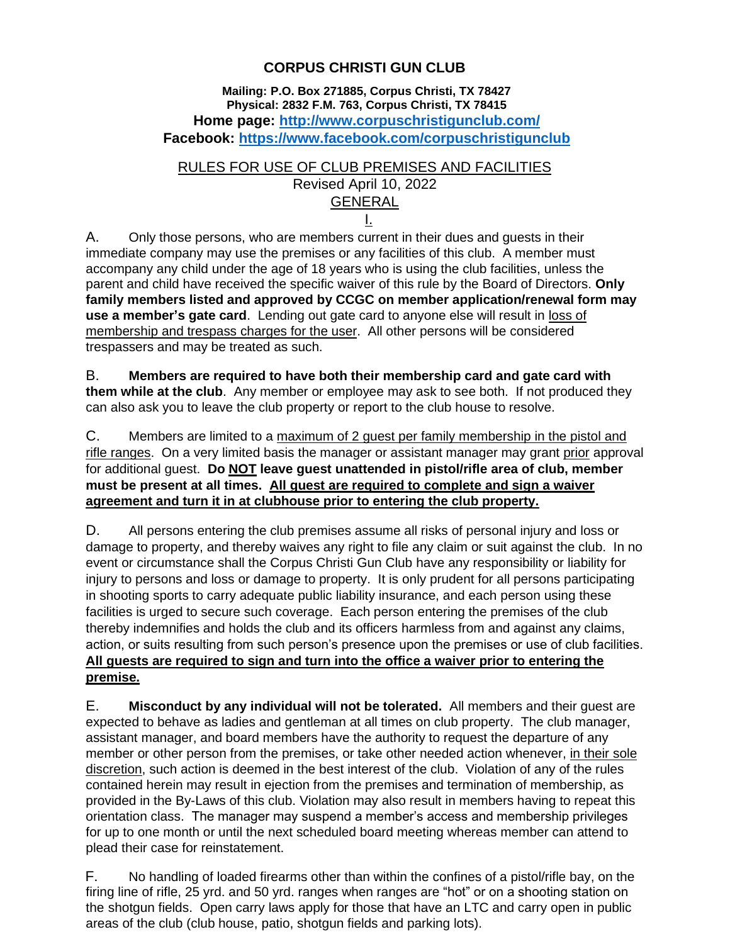## **CORPUS CHRISTI GUN CLUB**

**Mailing: P.O. Box 271885, Corpus Christi, TX 78427 Physical: 2832 F.M. 763, Corpus Christi, TX 78415 Home page: <http://www.corpuschristigunclub.com/> Facebook:<https://www.facebook.com/corpuschristigunclub>**

RULES FOR USE OF CLUB PREMISES AND FACILITIES

Revised April 10, 2022

# GENERAL

I.

A. Only those persons, who are members current in their dues and guests in their immediate company may use the premises or any facilities of this club. A member must accompany any child under the age of 18 years who is using the club facilities, unless the parent and child have received the specific waiver of this rule by the Board of Directors. **Only family members listed and approved by CCGC on member application/renewal form may use a member's gate card**. Lending out gate card to anyone else will result in loss of membership and trespass charges for the user. All other persons will be considered trespassers and may be treated as such.

B. **Members are required to have both their membership card and gate card with them while at the club**. Any member or employee may ask to see both. If not produced they can also ask you to leave the club property or report to the club house to resolve.

C. Members are limited to a maximum of 2 guest per family membership in the pistol and rifle ranges. On a very limited basis the manager or assistant manager may grant prior approval for additional guest. **Do NOT leave guest unattended in pistol/rifle area of club, member must be present at all times. All guest are required to complete and sign a waiver agreement and turn it in at clubhouse prior to entering the club property.** ٦

D. All persons entering the club premises assume all risks of personal injury and loss or damage to property, and thereby waives any right to file any claim or suit against the club. In no event or circumstance shall the Corpus Christi Gun Club have any responsibility or liability for injury to persons and loss or damage to property. It is only prudent for all persons participating in shooting sports to carry adequate public liability insurance, and each person using these facilities is urged to secure such coverage. Each person entering the premises of the club thereby indemnifies and holds the club and its officers harmless from and against any claims, action, or suits resulting from such person's presence upon the premises or use of club facilities. **All guests are required to sign and turn into the office a waiver prior to entering the premise.**

E. **Misconduct by any individual will not be tolerated.** All members and their guest are expected to behave as ladies and gentleman at all times on club property. The club manager, assistant manager, and board members have the authority to request the departure of any member or other person from the premises, or take other needed action whenever, in their sole discretion, such action is deemed in the best interest of the club. Violation of any of the rules contained herein may result in ejection from the premises and termination of membership, as provided in the By-Laws of this club. Violation may also result in members having to repeat this orientation class. The manager may suspend a member's access and membership privileges for up to one month or until the next scheduled board meeting whereas member can attend to plead their case for reinstatement.

F. No handling of loaded firearms other than within the confines of a pistol/rifle bay, on the firing line of rifle, 25 yrd. and 50 yrd. ranges when ranges are "hot" or on a shooting station on the shotgun fields. Open carry laws apply for those that have an LTC and carry open in public areas of the club (club house, patio, shotgun fields and parking lots).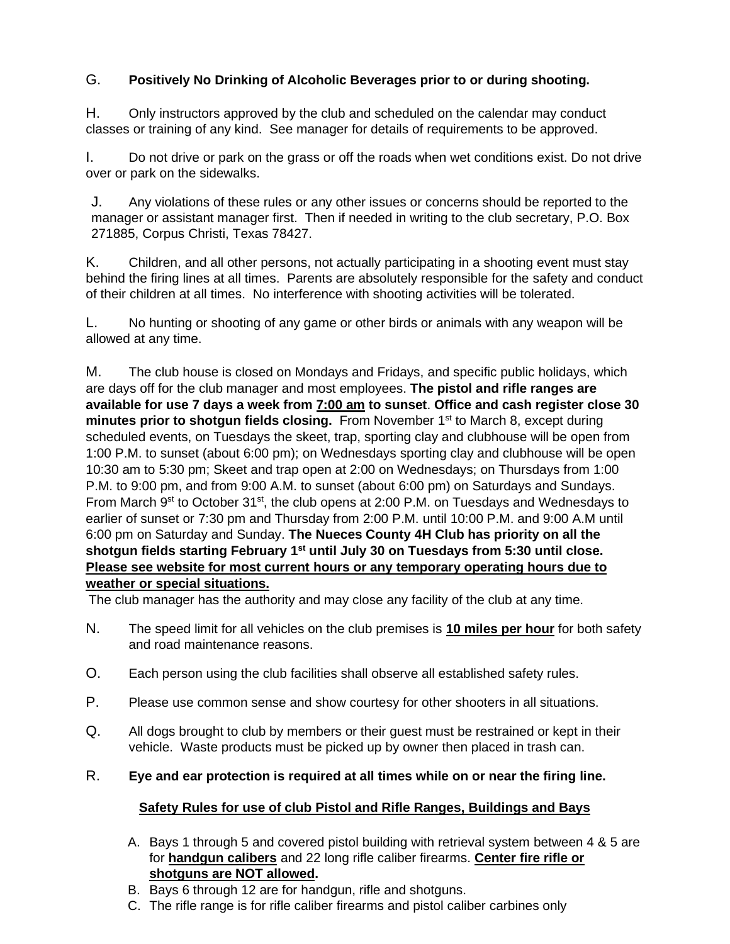### G. **Positively No Drinking of Alcoholic Beverages prior to or during shooting.**

H. Only instructors approved by the club and scheduled on the calendar may conduct classes or training of any kind. See manager for details of requirements to be approved.

I. Do not drive or park on the grass or off the roads when wet conditions exist. Do not drive over or park on the sidewalks.

J. Any violations of these rules or any other issues or concerns should be reported to the manager or assistant manager first. Then if needed in writing to the club secretary, P.O. Box 271885, Corpus Christi, Texas 78427.

K. Children, and all other persons, not actually participating in a shooting event must stay behind the firing lines at all times. Parents are absolutely responsible for the safety and conduct of their children at all times. No interference with shooting activities will be tolerated.

L. No hunting or shooting of any game or other birds or animals with any weapon will be allowed at any time.

M. The club house is closed on Mondays and Fridays, and specific public holidays, which are days off for the club manager and most employees. **The pistol and rifle ranges are available for use 7 days a week from 7:00 am to sunset**. **Office and cash register close 30 minutes prior to shotgun fields closing.** From November 1<sup>st</sup> to March 8, except during scheduled events, on Tuesdays the skeet, trap, sporting clay and clubhouse will be open from 1:00 P.M. to sunset (about 6:00 pm); on Wednesdays sporting clay and clubhouse will be open 10:30 am to 5:30 pm; Skeet and trap open at 2:00 on Wednesdays; on Thursdays from 1:00 P.M. to 9:00 pm, and from 9:00 A.M. to sunset (about 6:00 pm) on Saturdays and Sundays. From March 9<sup>st</sup> to October 31<sup>st</sup>, the club opens at 2:00 P.M. on Tuesdays and Wednesdays to earlier of sunset or 7:30 pm and Thursday from 2:00 P.M. until 10:00 P.M. and 9:00 A.M until 6:00 pm on Saturday and Sunday. **The Nueces County 4H Club has priority on all the shotgun fields starting February 1st until July 30 on Tuesdays from 5:30 until close. Please see website for most current hours or any temporary operating hours due to weather or special situations.**

The club manager has the authority and may close any facility of the club at any time.

- N. The speed limit for all vehicles on the club premises is **10 miles per hour** for both safety and road maintenance reasons.
- O. Each person using the club facilities shall observe all established safety rules.
- P. Please use common sense and show courtesy for other shooters in all situations.
- Q. All dogs brought to club by members or their guest must be restrained or kept in their vehicle. Waste products must be picked up by owner then placed in trash can.

#### R. **Eye and ear protection is required at all times while on or near the firing line.**

#### **Safety Rules for use of club Pistol and Rifle Ranges, Buildings and Bays**

- A. Bays 1 through 5 and covered pistol building with retrieval system between 4 & 5 are for **handgun calibers** and 22 long rifle caliber firearms. **Center fire rifle or shotguns are NOT allowed.**
- B. Bays 6 through 12 are for handgun, rifle and shotguns.
- C. The rifle range is for rifle caliber firearms and pistol caliber carbines only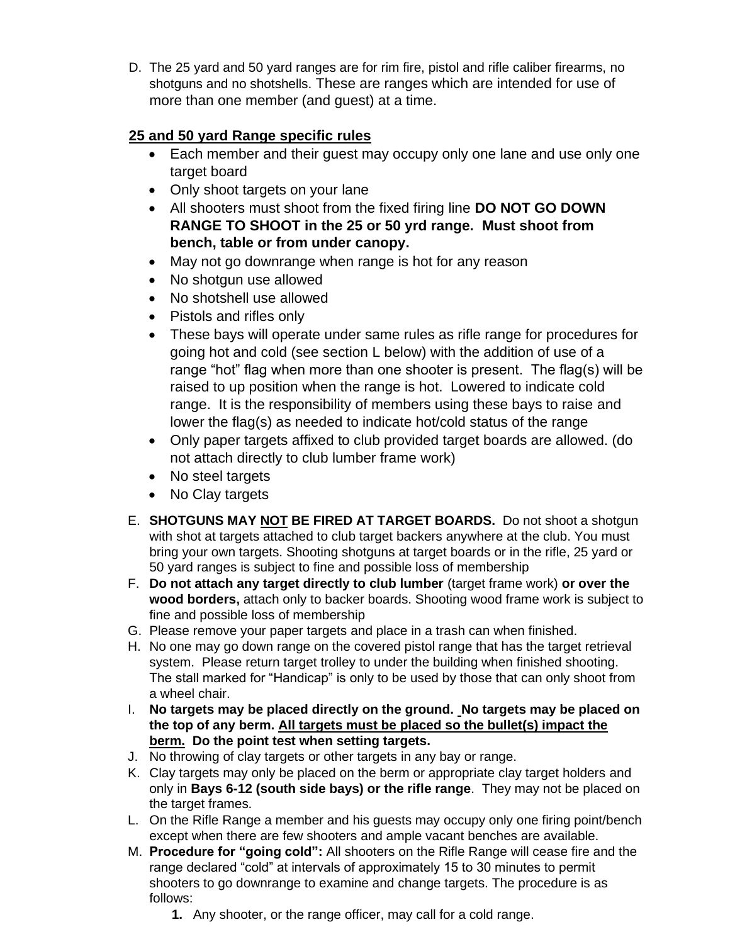D. The 25 yard and 50 yard ranges are for rim fire, pistol and rifle caliber firearms, no shotguns and no shotshells. These are ranges which are intended for use of more than one member (and guest) at a time.

# **25 and 50 yard Range specific rules**

- Each member and their guest may occupy only one lane and use only one target board
- Only shoot targets on your lane
- All shooters must shoot from the fixed firing line **DO NOT GO DOWN RANGE TO SHOOT in the 25 or 50 yrd range. Must shoot from bench, table or from under canopy.**
- May not go downrange when range is hot for any reason
- No shotgun use allowed
- No shotshell use allowed
- Pistols and rifles only
- These bays will operate under same rules as rifle range for procedures for going hot and cold (see section L below) with the addition of use of a range "hot" flag when more than one shooter is present. The flag(s) will be raised to up position when the range is hot. Lowered to indicate cold range. It is the responsibility of members using these bays to raise and lower the flag(s) as needed to indicate hot/cold status of the range
- Only paper targets affixed to club provided target boards are allowed. (do not attach directly to club lumber frame work)
- No steel targets
- No Clay targets
- E. **SHOTGUNS MAY NOT BE FIRED AT TARGET BOARDS.** Do not shoot a shotgun with shot at targets attached to club target backers anywhere at the club. You must bring your own targets. Shooting shotguns at target boards or in the rifle, 25 yard or 50 yard ranges is subject to fine and possible loss of membership
- F. **Do not attach any target directly to club lumber** (target frame work) **or over the wood borders,** attach only to backer boards. Shooting wood frame work is subject to fine and possible loss of membership
- G. Please remove your paper targets and place in a trash can when finished.
- H. No one may go down range on the covered pistol range that has the target retrieval system. Please return target trolley to under the building when finished shooting. The stall marked for "Handicap" is only to be used by those that can only shoot from a wheel chair.
- I. **No targets may be placed directly on the ground. No targets may be placed on the top of any berm. All targets must be placed so the bullet(s) impact the berm. Do the point test when setting targets.**
- J. No throwing of clay targets or other targets in any bay or range.
- K. Clay targets may only be placed on the berm or appropriate clay target holders and only in **Bays 6-12 (south side bays) or the rifle range**. They may not be placed on the target frames.
- L. On the Rifle Range a member and his guests may occupy only one firing point/bench except when there are few shooters and ample vacant benches are available.
- M. **Procedure for "going cold":** All shooters on the Rifle Range will cease fire and the range declared "cold" at intervals of approximately 15 to 30 minutes to permit shooters to go downrange to examine and change targets. The procedure is as follows:
	- **1.** Any shooter, or the range officer, may call for a cold range.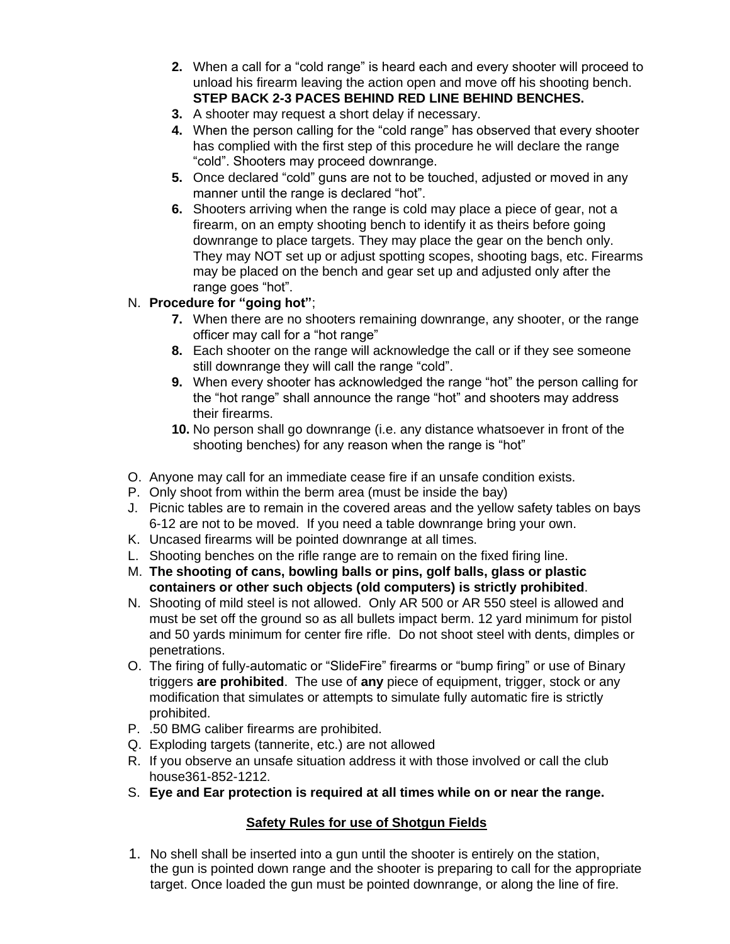- **2.** When a call for a "cold range" is heard each and every shooter will proceed to unload his firearm leaving the action open and move off his shooting bench. **STEP BACK 2-3 PACES BEHIND RED LINE BEHIND BENCHES.**
- **3.** A shooter may request a short delay if necessary.
- **4.** When the person calling for the "cold range" has observed that every shooter has complied with the first step of this procedure he will declare the range "cold". Shooters may proceed downrange.
- **5.** Once declared "cold" guns are not to be touched, adjusted or moved in any manner until the range is declared "hot".
- **6.** Shooters arriving when the range is cold may place a piece of gear, not a firearm, on an empty shooting bench to identify it as theirs before going downrange to place targets. They may place the gear on the bench only. They may NOT set up or adjust spotting scopes, shooting bags, etc. Firearms may be placed on the bench and gear set up and adjusted only after the range goes "hot".

### N. **Procedure for "going hot"**;

- **7.** When there are no shooters remaining downrange, any shooter, or the range officer may call for a "hot range"
- **8.** Each shooter on the range will acknowledge the call or if they see someone still downrange they will call the range "cold".
- **9.** When every shooter has acknowledged the range "hot" the person calling for the "hot range" shall announce the range "hot" and shooters may address their firearms.
- **10.** No person shall go downrange (i.e. any distance whatsoever in front of the shooting benches) for any reason when the range is "hot"
- O. Anyone may call for an immediate cease fire if an unsafe condition exists.
- P. Only shoot from within the berm area (must be inside the bay)
- J. Picnic tables are to remain in the covered areas and the yellow safety tables on bays 6-12 are not to be moved. If you need a table downrange bring your own.
- K. Uncased firearms will be pointed downrange at all times.
- L. Shooting benches on the rifle range are to remain on the fixed firing line.
- M. **The shooting of cans, bowling balls or pins, golf balls, glass or plastic containers or other such objects (old computers) is strictly prohibited**.
- N. Shooting of mild steel is not allowed. Only AR 500 or AR 550 steel is allowed and must be set off the ground so as all bullets impact berm. 12 yard minimum for pistol and 50 yards minimum for center fire rifle. Do not shoot steel with dents, dimples or penetrations.
- O. The firing of fully-automatic or "SlideFire" firearms or "bump firing" or use of Binary triggers **are prohibited**. The use of **any** piece of equipment, trigger, stock or any modification that simulates or attempts to simulate fully automatic fire is strictly prohibited.
- P. .50 BMG caliber firearms are prohibited.
- Q. Exploding targets (tannerite, etc.) are not allowed
- R. If you observe an unsafe situation address it with those involved or call the club house361-852-1212.
- S. **Eye and Ear protection is required at all times while on or near the range.**

## **Safety Rules for use of Shotgun Fields**

1. No shell shall be inserted into a gun until the shooter is entirely on the station, the gun is pointed down range and the shooter is preparing to call for the appropriate target. Once loaded the gun must be pointed downrange, or along the line of fire.